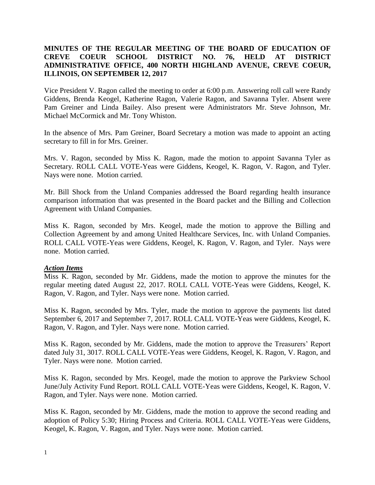# **MINUTES OF THE REGULAR MEETING OF THE BOARD OF EDUCATION OF CREVE COEUR SCHOOL DISTRICT NO. 76, HELD AT DISTRICT ADMINISTRATIVE OFFICE, 400 NORTH HIGHLAND AVENUE, CREVE COEUR, ILLINOIS, ON SEPTEMBER 12, 2017**

Vice President V. Ragon called the meeting to order at 6:00 p.m. Answering roll call were Randy Giddens, Brenda Keogel, Katherine Ragon, Valerie Ragon, and Savanna Tyler. Absent were Pam Greiner and Linda Bailey. Also present were Administrators Mr. Steve Johnson, Mr. Michael McCormick and Mr. Tony Whiston.

In the absence of Mrs. Pam Greiner, Board Secretary a motion was made to appoint an acting secretary to fill in for Mrs. Greiner.

Mrs. V. Ragon, seconded by Miss K. Ragon, made the motion to appoint Savanna Tyler as Secretary. ROLL CALL VOTE-Yeas were Giddens, Keogel, K. Ragon, V. Ragon, and Tyler. Nays were none. Motion carried.

Mr. Bill Shock from the Unland Companies addressed the Board regarding health insurance comparison information that was presented in the Board packet and the Billing and Collection Agreement with Unland Companies.

Miss K. Ragon, seconded by Mrs. Keogel, made the motion to approve the Billing and Collection Agreement by and among United Healthcare Services, Inc. with Unland Companies. ROLL CALL VOTE-Yeas were Giddens, Keogel, K. Ragon, V. Ragon, and Tyler. Nays were none. Motion carried.

### *Action Items*

Miss K. Ragon, seconded by Mr. Giddens, made the motion to approve the minutes for the regular meeting dated August 22, 2017. ROLL CALL VOTE-Yeas were Giddens, Keogel, K. Ragon, V. Ragon, and Tyler. Nays were none. Motion carried.

Miss K. Ragon, seconded by Mrs. Tyler, made the motion to approve the payments list dated September 6, 2017 and September 7, 2017. ROLL CALL VOTE-Yeas were Giddens, Keogel, K. Ragon, V. Ragon, and Tyler. Nays were none. Motion carried.

Miss K. Ragon, seconded by Mr. Giddens, made the motion to approve the Treasurers' Report dated July 31, 3017. ROLL CALL VOTE-Yeas were Giddens, Keogel, K. Ragon, V. Ragon, and Tyler. Nays were none. Motion carried.

Miss K. Ragon, seconded by Mrs. Keogel, made the motion to approve the Parkview School June/July Activity Fund Report. ROLL CALL VOTE-Yeas were Giddens, Keogel, K. Ragon, V. Ragon, and Tyler. Nays were none. Motion carried.

Miss K. Ragon, seconded by Mr. Giddens, made the motion to approve the second reading and adoption of Policy 5:30; Hiring Process and Criteria. ROLL CALL VOTE-Yeas were Giddens, Keogel, K. Ragon, V. Ragon, and Tyler. Nays were none. Motion carried.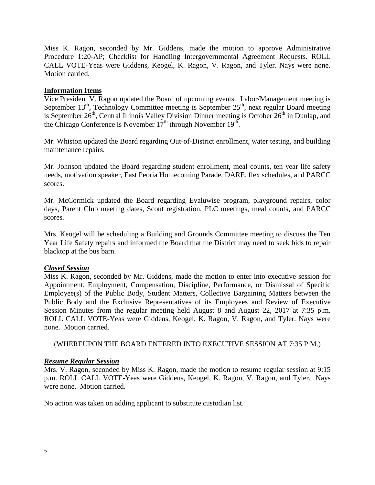Miss K. Ragon, seconded by Mr. Giddens, made the motion to approve Administrative Procedure 1:20-AP; Checklist for Handling Intergovernmental Agreement Requests. ROLL CALL VOTE-Yeas were Giddens, Keogel, K. Ragon, V. Ragon, and Tyler. Nays were none. Motion carried.

## **Information Items**

Vice President V. Ragon updated the Board of upcoming events. Labor/Management meeting is September  $13<sup>th</sup>$ , Technology Committee meeting is September  $25<sup>th</sup>$ , next regular Board meeting is September  $26<sup>th</sup>$ , Central Illinois Valley Division Dinner meeting is October  $26<sup>th</sup>$  in Dunlap, and the Chicago Conference is November  $17<sup>th</sup>$  through November  $19<sup>th</sup>$ .

Mr. Whiston updated the Board regarding Out-of-District enrollment, water testing, and building maintenance repairs.

Mr. Johnson updated the Board regarding student enrollment, meal counts, ten year life safety needs, motivation speaker, East Peoria Homecoming Parade, DARE, flex schedules, and PARCC scores.

Mr. McCormick updated the Board regarding Evaluwise program, playground repairs, color days, Parent Club meeting dates, Scout registration, PLC meetings, meal counts, and PARCC scores.

Mrs. Keogel will be scheduling a Building and Grounds Committee meeting to discuss the Ten Year Life Safety repairs and informed the Board that the District may need to seek bids to repair blacktop at the bus barn.

### *Closed Session*

Miss K. Ragon, seconded by Mr. Giddens, made the motion to enter into executive session for Appointment, Employment, Compensation, Discipline, Performance, or Dismissal of Specific Employee(s) of the Public Body, Student Matters, Collective Bargaining Matters between the Public Body and the Exclusive Representatives of its Employees and Review of Executive Session Minutes from the regular meeting held August 8 and August 22, 2017 at 7:35 p.m. ROLL CALL VOTE-Yeas were Giddens, Keogel, K. Ragon, V. Ragon, and Tyler. Nays were none. Motion carried.

(WHEREUPON THE BOARD ENTERED INTO EXECUTIVE SESSION AT 7:35 P.M.)

### *Resume Regular Session*

Mrs. V. Ragon, seconded by Miss K. Ragon, made the motion to resume regular session at 9:15 p.m. ROLL CALL VOTE-Yeas were Giddens, Keogel, K. Ragon, V. Ragon, and Tyler. Nays were none. Motion carried.

No action was taken on adding applicant to substitute custodian list.